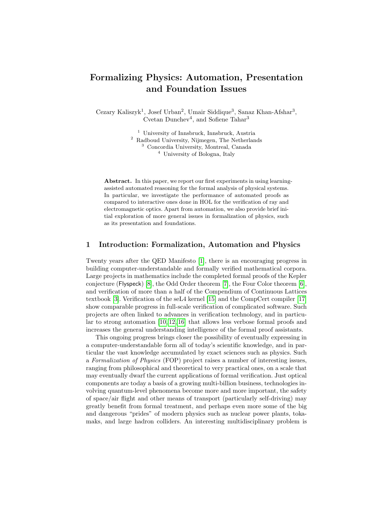# Formalizing Physics: Automation, Presentation and Foundation Issues

Cezary Kaliszyk<sup>1</sup>, Josef Urban<sup>2</sup>, Umair Siddique<sup>3</sup>, Sanaz Khan-Afshar<sup>3</sup>, Cvetan Dunchev<sup>4</sup>, and Sofiene Tahar<sup>3</sup>

> University of Innsbruck, Innsbruck, Austria Radboud University, Nijmegen, The Netherlands Concordia University, Montreal, Canada University of Bologna, Italy

Abstract. In this paper, we report our first experiments in using learningassisted automated reasoning for the formal analysis of physical systems. In particular, we investigate the performance of automated proofs as compared to interactive ones done in HOL for the verification of ray and electromagnetic optics. Apart from automation, we also provide brief initial exploration of more general issues in formalization of physics, such as its presentation and foundations.

## 1 Introduction: Formalization, Automation and Physics

Twenty years after the QED Manifesto [\[1\]](#page-6-0), there is an encouraging progress in building computer-understandable and formally verified mathematical corpora. Large projects in mathematics include the completed formal proofs of the Kepler conjecture (Flyspeck) [\[8\]](#page-7-0), the Odd Order theorem [\[7\]](#page-7-1), the Four Color theorem [\[6\]](#page-7-2), and verification of more than a half of the Compendium of Continuous Lattices textbook [\[3\]](#page-6-1). Verification of the seL4 kernel [\[15\]](#page-7-3) and the CompCert compiler [\[17\]](#page-7-4) show comparable progress in full-scale verification of complicated software. Such projects are often linked to advances in verification technology, and in particular to strong automation [\[10,](#page-7-5) [12,](#page-7-6) [16\]](#page-7-7) that allows less verbose formal proofs and increases the general understanding intelligence of the formal proof assistants.

This ongoing progress brings closer the possibility of eventually expressing in a computer-understandable form all of today's scientific knowledge, and in particular the vast knowledge accumulated by exact sciences such as physics. Such a Formalization of Physics (FOP) project raises a number of interesting issues, ranging from philosophical and theoretical to very practical ones, on a scale that may eventually dwarf the current applications of formal verification. Just optical components are today a basis of a growing multi-billion business, technologies involving quantum-level phenomena become more and more important, the safety of space/air flight and other means of transport (particularly self-driving) may greatly benefit from formal treatment, and perhaps even more some of the big and dangerous "prides" of modern physics such as nuclear power plants, tokamaks, and large hadron colliders. An interesting multidisciplinary problem is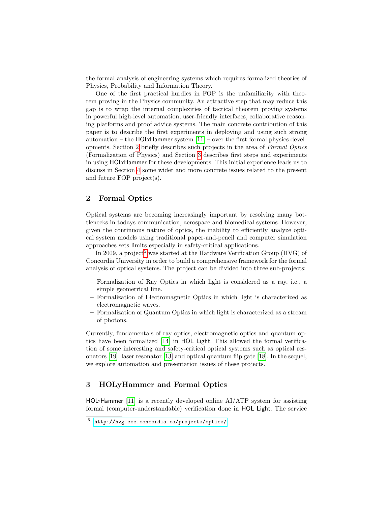the formal analysis of engineering systems which requires formalized theories of Physics, Probability and Information Theory.

One of the first practical hurdles in FOP is the unfamiliarity with theorem proving in the Physics community. An attractive step that may reduce this gap is to wrap the internal complexities of tactical theorem proving systems in powerful high-level automation, user-friendly interfaces, collaborative reasoning platforms and proof advice systems. The main concrete contribution of this paper is to describe the first experiments in deploying and using such strong automation – the HOLYHammer system  $[11]$  – over the first formal physics developments. Section [2](#page-1-0) briefly describes such projects in the area of Formal Optics (Formalization of Physics) and Section [3](#page-1-1) describes first steps and experiments in using HOLyHammer for these developments. This initial experience leads us to discuss in Section [4](#page-5-0) some wider and more concrete issues related to the present and future FOP project(s).

# <span id="page-1-0"></span>2 Formal Optics

Optical systems are becoming increasingly important by resolving many bottlenecks in todays communication, aerospace and biomedical systems. However, given the continuous nature of optics, the inability to efficiently analyze optical system models using traditional paper-and-pencil and computer simulation approaches sets limits especially in safety-critical applications.

In 2009, a project<sup>[5](#page-1-2)</sup> was started at the Hardware Verification Group (HVG) of Concordia University in order to build a comprehensive framework for the formal analysis of optical systems. The project can be divided into three sub-projects:

- Formalization of Ray Optics in which light is considered as a ray, i.e., a simple geometrical line.
- Formalization of Electromagnetic Optics in which light is characterized as electromagnetic waves.
- Formalization of Quantum Optics in which light is characterized as a stream of photons.

Currently, fundamentals of ray optics, electromagnetic optics and quantum optics have been formalized [\[14\]](#page-7-9) in HOL Light. This allowed the formal verification of some interesting and safety-critical optical systems such as optical resonators [\[19\]](#page-7-10), laser resonator [\[13\]](#page-7-11) and optical quantum flip gate [\[18\]](#page-7-12). In the sequel, we explore automation and presentation issues of these projects.

# <span id="page-1-1"></span>3 HOLyHammer and Formal Optics

HOL<sup>y</sup>Hammer [\[11\]](#page-7-8) is a recently developed online AI/ATP system for assisting formal (computer-understandable) verification done in HOL Light. The service

<span id="page-1-2"></span><sup>5</sup> <http://hvg.ece.concordia.ca/projects/optics/>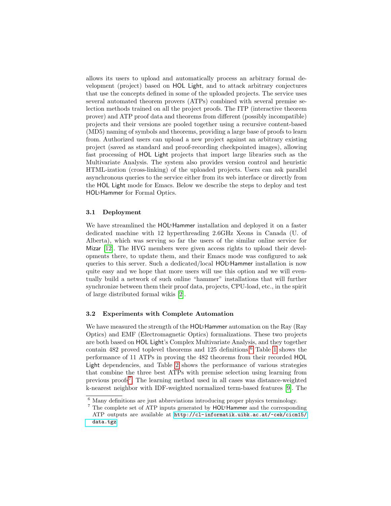allows its users to upload and automatically process an arbitrary formal development (project) based on HOL Light, and to attack arbitrary conjectures that use the concepts defined in some of the uploaded projects. The service uses several automated theorem provers (ATPs) combined with several premise selection methods trained on all the project proofs. The ITP (interactive theorem prover) and ATP proof data and theorems from different (possibly incompatible) projects and their versions are pooled together using a recursive content-based (MD5) naming of symbols and theorems, providing a large base of proofs to learn from. Authorized users can upload a new project against an arbitrary existing project (saved as standard and proof-recording checkpointed images), allowing fast processing of HOL Light projects that import large libraries such as the Multivariate Analysis. The system also provides version control and heuristic HTML-ization (cross-linking) of the uploaded projects. Users can ask parallel asynchronous queries to the service either from its web interface or directly from the HOL Light mode for Emacs. Below we describe the steps to deploy and test HOL<sup>y</sup>Hammer for Formal Optics.

#### 3.1 Deployment

We have streamlined the HOL<sup>y</sup>Hammer installation and deployed it on a faster dedicated machine with 12 hyperthreading 2.6GHz Xeons in Canada (U. of Alberta), which was serving so far the users of the similar online service for Mizar [\[12\]](#page-7-6). The HVG members were given access rights to upload their developments there, to update them, and their Emacs mode was configured to ask queries to this server. Such a dedicated/local HOL<sup>y</sup>Hammer installation is now quite easy and we hope that more users will use this option and we will eventually build a network of such online "hammer" installations that will further synchronize between them their proof data, projects, CPU-load, etc., in the spirit of large distributed formal wikis [\[2\]](#page-6-2).

#### 3.2 Experiments with Complete Automation

We have measured the strength of the HOL<sup>y</sup>Hammer automation on the Ray (Ray Optics) and EMF (Electromagnetic Optics) formalizations. These two projects are both based on HOL Light's Complex Multivariate Analysis, and they together contain 482 proved toplevel theorems and 125 definitions.[6](#page-2-0) Table [1](#page-3-0) shows the performance of 11 ATPs in proving the 482 theorems from their recorded HOL Light dependencies, and Table [2](#page-4-0) shows the performance of various strategies that combine the three best ATPs with premise selection using learning from previous proofs[7](#page-2-1) . The learning method used in all cases was distance-weighted k-nearest neighbor with IDF-weighted normalized term-based features [\[9\]](#page-7-13). The

<span id="page-2-0"></span> $\frac{6}{6}$  Many definitions are just abbreviations introducing proper physics terminology.

<span id="page-2-1"></span> $7$  The complete set of ATP inputs generated by  $HOLY$ Hammer and the corresponding ATP outputs are available at [http://cl-informatik.uibk.ac.at/~cek/cicm15/](http://cl-informatik.uibk.ac.at/~cek/cicm15/data.tgz) [data.tgz](http://cl-informatik.uibk.ac.at/~cek/cicm15/data.tgz)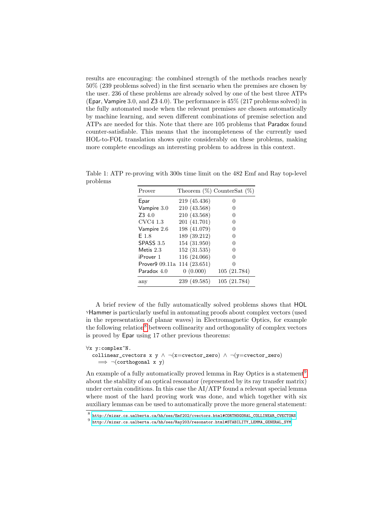results are encouraging: the combined strength of the methods reaches nearly 50% (239 problems solved) in the first scenario when the premises are chosen by the user. 236 of these problems are already solved by one of the best three ATPs (Epar, Vampire 3.0, and Z3 4.0). The performance is 45% (217 problems solved) in the fully automated mode when the relevant premises are chosen automatically by machine learning, and seven different combinations of premise selection and ATPs are needed for this. Note that there are 105 problems that Paradox found counter-satisfiable. This means that the incompleteness of the currently used HOL-to-FOL translation shows quite considerably on these problems, making more complete encodings an interesting problem to address in this context.

problems Prover Theorem  $(\%)$  CounterSat  $(\%)$ Epar  $219 \ (45.436)$  0  $\textsf{Vampire}~3.0 \quad 210 ~(43.568) \quad 0$ **Z3** 4.0 210 (43.568) 0

<span id="page-3-0"></span>Table 1: ATP re-proving with 300s time limit on the 482 Emf and Ray top-level

| 219 (45.436)<br>Epar<br>$\mathbf{0}$<br>210 (43.568)<br>Vampire 3.0<br>$\theta$ |  |
|---------------------------------------------------------------------------------|--|
|                                                                                 |  |
|                                                                                 |  |
| 210 (43.568)<br>Z34.0<br>$^{(1)}$                                               |  |
| 201 (41.701)<br>CVC4 1.3<br>$\theta$                                            |  |
| 198 (41.079)<br>Vampire $2.6$<br>$\theta$                                       |  |
| 189 (39.212)<br>$E$ 1.8<br>$\mathbf{0}$                                         |  |
| SPASS 3.5<br>154 (31.950)<br>$^{(1)}$                                           |  |
| 152(31.535)<br>Metis $2.3$<br>$\mathbf{0}$                                      |  |
| 116 (24.066)<br>iProver 1<br>$\mathbf{0}$                                       |  |
| 114(23.651)<br>Prover $909.11a$<br>$\mathbf{0}$                                 |  |
| 0(0.000)<br>105 (21.784)<br>Paradox 4.0                                         |  |
| 239 (49.585)<br>105 (21.784)<br>any                                             |  |

A brief review of the fully automatically solved problems shows that HOL <sup>y</sup>Hammer is particularly useful in automating proofs about complex vectors (used in the representation of planar waves) in Electromagnetic Optics, for example the following relation<sup>[8](#page-3-1)</sup> between collinearity and orthogonality of complex vectors is proved by Epar using 17 other previous theorems:

```
∀x y:complex^N.
  collinear_cvectors x y \land \neg(x={\text{cvector\_zero}}) \land \neg(y={\text{cvector\_zero}})\implies \neg(\text{corthogonal } x y)
```
An example of a fully automatically proved lemma in Ray Optics is a statement<sup>[9](#page-3-2)</sup> about the stability of an optical resonator (represented by its ray transfer matrix) under certain conditions. In this case the AI/ATP found a relevant special lemma where most of the hard proving work was done, and which together with six auxiliary lemmas can be used to automatically prove the more general statement:

<span id="page-3-1"></span> $^8$  [http://mizar.cs.ualberta.ca/hh/ses/Emf202/cvectors.html#CORTHOGONAL\\_COLLINEAR\\_CVECTORS](http://mizar.cs.ualberta.ca/hh/ses/Emf202/cvectors.html#CORTHOGONAL_COLLINEAR_CVECTORS)

<span id="page-3-2"></span> $^9$  [http://mizar.cs.ualberta.ca/hh/ses/Ray203/resonator.html#STABILITY\\_LEMMA\\_GENERAL\\_SYM](http://mizar.cs.ualberta.ca/hh/ses/Ray203/resonator.html#STABILITY_LEMMA_GENERAL_SYM)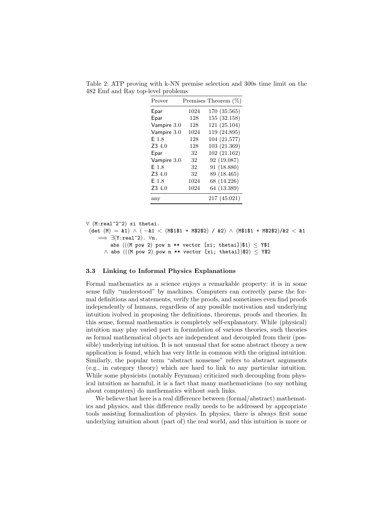| Prover      |      | Premises Theorem $(\%)$ |
|-------------|------|-------------------------|
| Epar        | 1024 | 170 (35.565)            |
| Epar        | 128  | 155(32.158)             |
| Vampire 3.0 | 128  | 121(25.104)             |
| Vampire 3.0 | 1024 | 119 (24.895)            |
| E 1.8       | 128  | 104 (21.577)            |
| Z34.0       | 128  | 103 (21.369)            |
| Epar        | 32   | 102(21.162)             |
| Vampire 3.0 | 32   | 92 (19.087)             |
| E 1.8       | 32   | 91 (18.880)             |
| Z34.0       | 32   | 89 (18.465)             |
| E 1.8       | 1024 | 68 (14.226)             |
| Z34.0       | 1024 | 64 (13.389)             |
| any         |      | 217 (45.021)            |

<span id="page-4-0"></span>Table 2: ATP proving with k-NN premise selection and 300s time limit on the 482 Emf and Ray top-level problems

```
∀ (M:real^2^2) xi thetai.
(\text{det} (M) = \&1) \wedge (-\&1 < (M$1$1$ + M$2$2) / \&2) \wedge (M$1$1$ + M$2$2) / \&2 < \&1\implies \exists (Y:real^2). \forall n.
          abs (((M \text{ pow 2}) \text{ pow n ** vector } [xi; theta])$1) \leq Y$1
       \wedge abs (((M \text{ pow 2}) \text{ pow n ** vector [xi; theta])$2) \leq Y$2
```
#### 3.3 Linking to Informal Physics Explanations

Formal mathematics as a science enjoys a remarkable property: it is in some sense fully "understood" by machines. Computers can correctly parse the formal definitions and statements, verify the proofs, and sometimes even find proofs independently of humans, regardless of any possible motivation and underlying intuition ivolved in proposing the definitions, theorems, proofs and theories. In this sense, formal mathematics is completely self-explanatory. While (physical) intuition may play varied part in formulation of various theories, such theories as formal mathematical objects are independent and decoupled from their (possible) underlying intuition. It is not unusual that for some abstract theory a new application is found, which has very little in common with the original intuition. Similarly, the popular term "abstract nonsense" refers to abstract arguments (e.g., in category theory) which are hard to link to any particular intuition. While some physicists (notably Feynman) criticized such decoupling from physical intuition as harmful, it is a fact that many mathematicians (to say nothing about computers) do mathematics without such links.

We believe that here is a real difference between (formal/abstract) mathematics and physics, and this difference really needs to be addressed by appropriate tools assisting formalization of physics. In physics, there is always first some underlying intuition about (part of) the real world, and this intuition is more or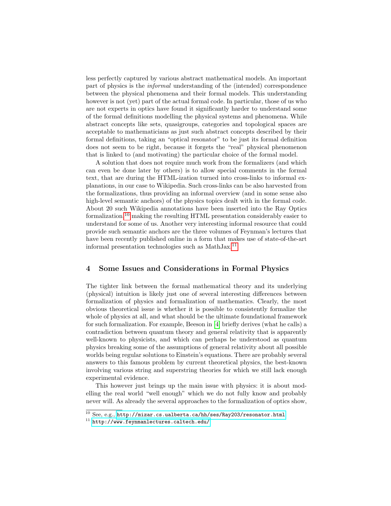less perfectly captured by various abstract mathematical models. An important part of physics is the informal understanding of the (intended) correspondence between the physical phenomena and their formal models. This understanding however is not (yet) part of the actual formal code. In particular, those of us who are not experts in optics have found it significantly harder to understand some of the formal definitions modelling the physical systems and phenomena. While abstract concepts like sets, quasigroups, categories and topological spaces are acceptable to mathematicians as just such abstract concepts described by their formal definitions, taking an "optical resonator" to be just its formal definition does not seem to be right, because it forgets the "real" physical phenomenon that is linked to (and motivating) the particular choice of the formal model.

A solution that does not require much work from the formalizers (and which can even be done later by others) is to allow special comments in the formal text, that are during the HTML-ization turned into cross-links to informal explanations, in our case to Wikipedia. Such cross-links can be also harvested from the formalizations, thus providing an informal overview (and in some sense also high-level semantic anchors) of the physics topics dealt with in the formal code. About 20 such Wikipedia annotations have been inserted into the Ray Optics formalization,[10](#page-5-1) making the resulting HTML presentation considerably easier to understand for some of us. Another very interesting informal resource that could provide such semantic anchors are the three volumes of Feynman's lectures that have been recently published online in a form that makes use of state-of-the-art informal presentation technologies such as MathJax.[11](#page-5-2)

## <span id="page-5-0"></span>4 Some Issues and Considerations in Formal Physics

The tighter link between the formal mathematical theory and its underlying (physical) intuition is likely just one of several interesting differences between formalization of physics and formalization of mathematics. Clearly, the most obvious theoretical issue is whether it is possible to consistently formalize the whole of physics at all, and what should be the ultimate foundational framework for such formalization. For example, Beeson in [\[4\]](#page-6-3) briefly derives (what he calls) a contradiction between quantum theory and general relativity that is apparently well-known to physicists, and which can perhaps be understood as quantum physics breaking some of the assumptions of general relativity about all possible worlds being regular solutions to Einstein's equations. There are probably several answers to this famous problem by current theoretical physics, the best-known involving various string and superstring theories for which we still lack enough experimental evidence.

This however just brings up the main issue with physics: it is about modelling the real world "well enough" which we do not fully know and probably never will. As already the several approaches to the formalization of optics show,

<span id="page-5-1"></span> $^{10}$  See, e.g., <http://mizar.cs.ualberta.ca/hh/ses/Ray203/resonator.html>

<span id="page-5-2"></span> $11$  <http://www.feynmanlectures.caltech.edu/>.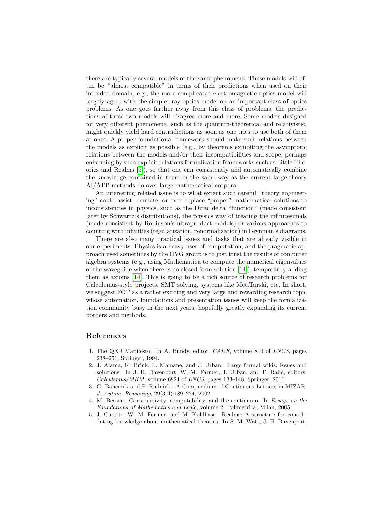there are typically several models of the same phenomena. These models will often be "almost compatible" in terms of their predictions when used on their intended domain, e.g., the more complicated electromagnetic optics model will largely agree with the simpler ray optics model on an important class of optics problems. As one goes farther away from this class of problems, the predictions of these two models will disagree more and more. Some models designed for very different phenomena, such as the quantum-theoretical and relativistic, might quickly yield hard contradictions as soon as one tries to use both of them at once. A proper foundational framework should make such relations between the models as explicit as possible (e.g., by theorems exhibiting the asymptotic relations between the models and/or their incompatibilities and scope, perhaps enhancing by such explicit relations formalization frameworks such as Little Theories and Realms [\[5\]](#page-6-4)), so that one can consistently and automatically combine the knowledge contained in them in the same way as the current large-theory AI/ATP methods do over large mathematical corpora.

An interesting related issue is to what extent such careful "theory engineering" could assist, emulate, or even replace "proper" mathematical solutions to inconsistencies in physics, such as the Dirac delta "function" (made consistent later by Schwartz's distributions), the physics way of treating the infinitesimals (made consistent by Robinson's ultraproduct models) or various approaches to counting with infinities (regularization, renormalization) in Feynman's diagrams.

There are also many practical issues and tasks that are already visible in our experiments. Physics is a heavy user of computation, and the pragmatic approach used sometimes by the HVG group is to just trust the results of computer algebra systems (e.g., using Mathematica to compute the numerical eigenvalues of the waveguide when there is no closed form solution [\[14\]](#page-7-9)), temporarily adding them as axioms [\[14\]](#page-7-9). This is going to be a rich source of research problems for Calculemus-style projects, SMT solving, systems like MetiTarski, etc. In short, we suggest FOP as a rather exciting and very large and rewarding research topic whose automation, foundations and presentation issues will keep the formalization community busy in the next years, hopefully greatly expanding its current borders and methods.

## References

- <span id="page-6-0"></span>1. The QED Manifesto. In A. Bundy, editor, CADE, volume 814 of LNCS, pages 238–251. Springer, 1994.
- <span id="page-6-2"></span>2. J. Alama, K. Brink, L. Mamane, and J. Urban. Large formal wikis: Issues and solutions. In J. H. Davenport, W. M. Farmer, J. Urban, and F. Rabe, editors, Calculemus/MKM, volume 6824 of LNCS, pages 133–148. Springer, 2011.
- <span id="page-6-1"></span>3. G. Bancerek and P. Rudnicki. A Compendium of Continuous Lattices in MIZAR. J. Autom. Reasoning, 29(3-4):189–224, 2002.
- <span id="page-6-3"></span>4. M. Beeson. Constructivity, computability, and the continuum. In Essays on the Foundations of Mathematics and Logic, volume 2. Polimetrica, Milan, 2005.
- <span id="page-6-4"></span>5. J. Carette, W. M. Farmer, and M. Kohlhase. Realms: A structure for consolidating knowledge about mathematical theories. In S. M. Watt, J. H. Davenport,